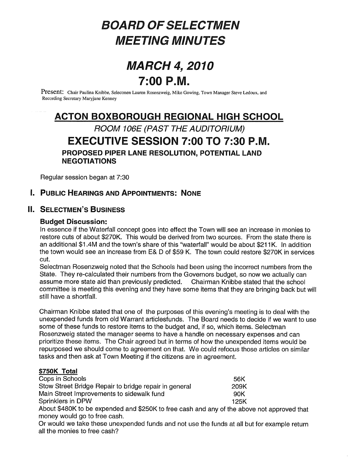# BOARD OF SELECTMEN MEETING MINUTES

# MARCH 4, 2010  $7:00 P.M.$

Present: Chair Paulina Knibbe, Selectmen Lauren Rosenzweig, Mike Gowing, Town Manager Steve Ledoux, and Recording Secretary Maryjane Kenney

# ACTON BOXBOROUGH REGIONAL HIGH SCHOOL

## ROOM 106E (PAST THE AUDITORIUM) EXECUTIVE SESSION 7:00 TO 7:30 P.M. PROPOSED PIPER LANE RESOLUTION, POTENTIAL LAND NEGOTIATIONS

Regular session began at 7:30

## I. PUBLIC HEARINGS AND APPOINTMENTS: NONE

## II. SELECTMEN'S BUSINESS

#### Budget Discussion:

In essence if the Waterfall concept goes into effect the Town will see an increase in monies to restore cuts of about \$270K. This would be derived from two sources. From the state there is an additional \$1.4M and the town's share of this "waterfall" would be about \$211K. In addition the town would see an increase from E& <sup>D</sup> of \$59 K. The town could restore \$270K in services cut.

Selectman Rosenzweig noted that the Schools had been using the incorrect numbers from the State. They re-calculated their numbers from the Governors budget, so now we actually can assume more state aid than previously predicted. Chairman Knibbe stated that the school committee is meeting this evening and they have some items that they are bringing back but will still have a shortfall.

Chairman Knibbe stated that one of the purposes of this evening's meeting is to deal with the unexpended funds from old Warrant articlesfunds. The Board needs to decide if we want to use some of these funds to restore items to the budget and, if so, which items. Selectman Rosenzweig stated the manager seems to have a handle on necessary expenses and can prioritize these items. The Chair agreed but in terms of how the unexpended items would be repurposed we should come to agreement on that. We could refocus those articles on similar tasks and then ask at Town Meeting if the citizens are in agreement.

#### \$750K Total

| Cops in Schools                                       | 56K  |
|-------------------------------------------------------|------|
| Stow Street Bridge Repair to bridge repair in general | 209K |
| Main Street Improvements to sidewalk fund             | 90K  |
| Sprinklers in DPW                                     | 125K |
|                                                       |      |

About \$480K to be expended and \$250K to free cash and any of the above not approved that money would go to free cash.

Or would we take these unexpended funds and not use the funds at all but for example return all the monies to free cash?